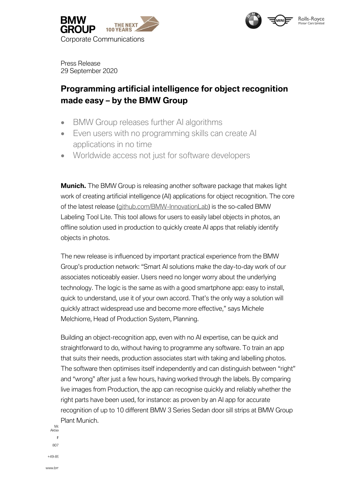



Press Release 29 September 2020

# **Programming artificial intelligence for object recognition made easy – by the BMW Group**

- BMW Group releases further AI algorithms
- Even users with no programming skills can create AI applications in no time
- Worldwide access not just for software developers

**Munich.** The BMW Group is releasing another software package that makes light work of creating artificial intelligence (AI) applications for object recognition. The core of the latest release [\(github.com/BMW-InnovationLab\)](https://github.com/BMW-InnovationLab) is the so-called BMW Labeling Tool Lite. This tool allows for users to easily label objects in photos, an offline solution used in production to quickly create AI apps that reliably identify objects in photos.

The new release is influenced by important practical experience from the BMW Group's production network: "Smart AI solutions make the day-to-day work of our associates noticeably easier. Users need no longer worry about the underlying technology. The logic is the same as with a good smartphone app: easy to install, quick to understand, use it of your own accord. That's the only way a solution will quickly attract widespread use and become more effective," says Michele Melchiorre, Head of Production System, Planning.

Building an object-recognition app, even with no AI expertise, can be quick and straightforward to do, without having to programme any software. To train an app that suits their needs, production associates start with taking and labelling photos. The software then optimises itself independently and can distinguish between "right" and "wrong" after just a few hours, having worked through the labels. By comparing live images from Production, the app can recognise quickly and reliably whether the right parts have been used, for instance: as proven by an AI app for accurate recognition of up to 10 different BMW 3 Series Sedan door sill strips at BMW Group Plant Munich.

Mc<br>Aktien Postanschrift 807  $+49-89$ 

www.bm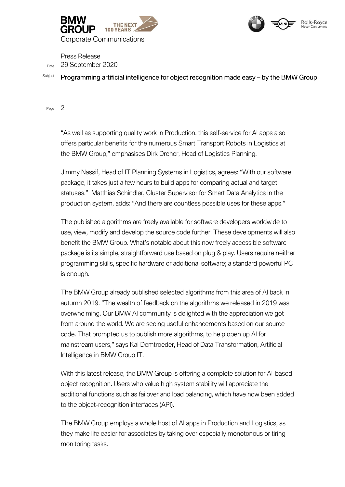



Press Release Date 29 September 2020

Subject Programming artificial intelligence for object recognition made easy – by the BMW Group

Page 2

"As well as supporting quality work in Production, this self-service for AI apps also offers particular benefits for the numerous Smart Transport Robots in Logistics at the BMW Group," emphasises Dirk Dreher, Head of Logistics Planning.

Jimmy Nassif, Head of IT Planning Systems in Logistics, agrees: "With our software package, it takes just a few hours to build apps for comparing actual and target statuses." Matthias Schindler, Cluster Supervisor for Smart Data Analytics in the production system, adds: "And there are countless possible uses for these apps."

The published algorithms are freely available for software developers worldwide to use, view, modify and develop the source code further. These developments will also benefit the BMW Group. What's notable about this now freely accessible software package is its simple, straightforward use based on plug & play. Users require neither programming skills, specific hardware or additional software; a standard powerful PC is enough.

The BMW Group already published selected algorithms from this area of AI back in autumn 2019. "The wealth of feedback on the algorithms we released in 2019 was overwhelming. Our BMW AI community is delighted with the appreciation we got from around the world. We are seeing useful enhancements based on our source code. That prompted us to publish more algorithms, to help open up AI for mainstream users," says Kai Demtroeder, Head of Data Transformation, Artificial Intelligence in BMW Group IT.

With this latest release, the BMW Group is offering a complete solution for AI-based object recognition. Users who value high system stability will appreciate the additional functions such as failover and load balancing, which have now been added to the object-recognition interfaces (API).

The BMW Group employs a whole host of AI apps in Production and Logistics, as they make life easier for associates by taking over especially monotonous or tiring monitoring tasks.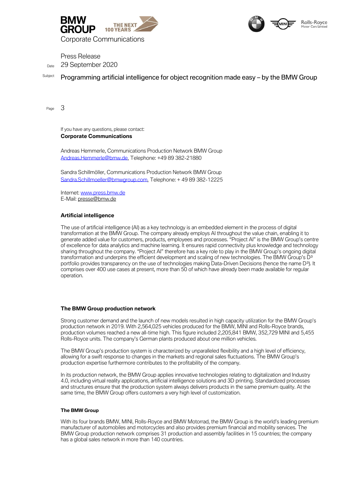



Corporate Communications

Press Release Date 29 September 2020

## Subject Programming artificial intelligence for object recognition made easy – by the BMW Group

Page 3

If you have any questions, please contact: **Corporate Communications**

Andreas Hemmerle, Communications Production Network BMW Group [Andreas.Hemmerle@bmw.de,](file:///C:/Users/q148339/Q148339/AppData/Local/Microsoft/Windows/INetCache/Content.Outlook/E8W9QDCN/Andreas.Hemmerle@bmw.de) Telephone: +49 89 382-21880

Sandra Schillmöller, Communications Production Network BMW Group [Sandra.Schillmoeller@bmwgroup.com,](file:///C:/Users/q148339/Q148339/AppData/Local/Microsoft/14_Werke_Produktionsstandorte/1_Werke/San%20Luis%20Potosi_Mexiko/2019/190606_Grand%20Opening/Pressemitteilung/AppData/Local/Microsoft/Windows/INetCache/Content.Outlook/KXMPQ76C/Sandra.Schillmoeller@bmwgroup.com) Telephone: + 49 89 382-12225

Internet[: www.press.bmw.de](http://www.press.bmw.de/) E-Mail[: presse@bmw.de](mailto:presse@bmw.de)

### **Artificial intelligence**

The use of artificial intelligence (AI) as a key technology is an embedded element in the process of digital transformation at the BMW Group. The company already employs AI throughout the value chain, enabling it to generate added value for customers, products, employees and processes. "Project AI" is the BMW Group's centre of excellence for data analytics and machine learning. It ensures rapid connectivity plus knowledge and technology sharing throughout the company. "Project AI" therefore has a key role to play in the BMW Group's ongoing digital transformation and underpins the efficient development and scaling of new technologies. The BMW Group's D<sup>3</sup> portfolio provides transparency on the use of technologies making Data-Driven Decisions (hence the name D<sup>3</sup>). It comprises over 400 use cases at present, more than 50 of which have already been made available for regular operation.

#### **The BMW Group production network**

Strong customer demand and the launch of new models resulted in high capacity utilization for the BMW Group's production network in 2019. With 2,564,025 vehicles produced for the BMW, MINI and Rolls-Royce brands, production volumes reached a new all-time high. This figure included 2,205,841 BMW, 352,729 MINI and 5,455 Rolls-Royce units. The company's German plants produced about one million vehicles.

The BMW Group's production system is characterized by unparalleled flexibility and a high level of efficiency, allowing for a swift response to changes in the markets and regional sales fluctuations. The BMW Group's production expertise furthermore contributes to the profitability of the company.

In its production network, the BMW Group applies innovative technologies relating to digitalization and Industry 4.0, including virtual reality applications, artificial intelligence solutions and 3D printing. Standardized processes and structures ensure that the production system always delivers products in the same premium quality. At the same time, the BMW Group offers customers a very high level of customization.

#### **The BMW Group**

With its four brands BMW, MINI, Rolls-Royce and BMW Motorrad, the BMW Group is the world's leading premium manufacturer of automobiles and motorcycles and also provides premium financial and mobility services. The BMW Group production network comprises 31 production and assembly facilities in 15 countries; the company has a global sales network in more than 140 countries.